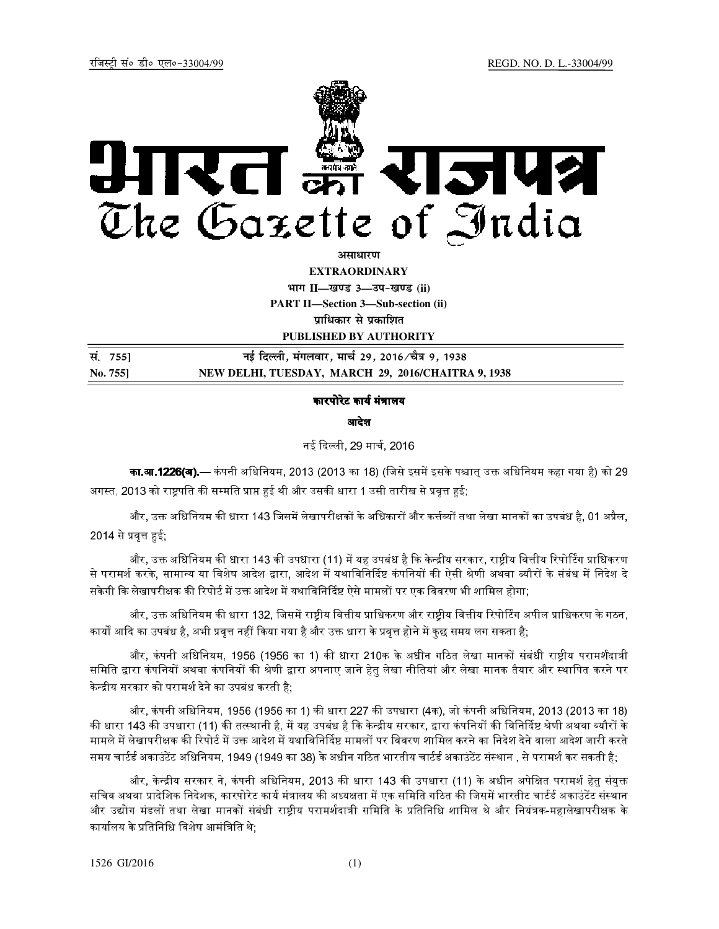

<u>असाधारण</u>

**EXTRAORDINARY**

**Hkkx II—[k.M 3—mi&[k.M (ii) PART II—Section 3—Sub-section (ii)**  *u*धिकार से प्रकाशित

**PUBLISHED BY AUTHORITY**

**la- 755] ubZ fnYyh] eaxyokj] ekp Z 29] 2016@p S=k 9] 1938 No. 755] NEW DELHI, TUESDAY, MARCH 29, 2016/CHAITRA 9, 1938**

## कारपोरेट कार्य मंत्रालय

आदेश

नई दली, 29 माच
, 2016

**का.आ.1226(अ).—** कंपनी अधिनियम, 2013 (2013 का 18) (जिसे इसमें इसके पश्चात् उक्त अधिनियम कहा गया है) को 29 अगस्त, 2013 को राष्ट्रपति की सम्मति प्राप्त हुई थी और उसकी धारा 1 उसी तारीख से प्रवृत्त हुई;

और, उक्त अधिनियम की धारा 143 जिसमें लेखापरीक्षकों के अधिकारों और कर्त्तव्यों तथा लेखा मानकों का उपबंध है, 01 अप्रैल, 2014 से प्रवृत्त हुई;

और, उक्त अधिनियम की धारा 143 की उपधारा (11) में यह उपबंध है कि केन्द्रीय सरकार, राष्ट्रीय वित्तीय रिपोर्टिंग प्राधिकरण से परामर्श करके, सामान्य या विशेष आदेश द्वारा, आदेश में यथाविनिर्दिष्ट कंपनियों की ऐसी श्रेणी अथवा ब्यौरों के संबंध में निदेश दे सकेगी कि लेखापरीक्षक की रिपोर्ट में उक्त आदेश में यथाविनिर्दिष्ट ऐसे मामलों पर एक विवरण भी शामिल होगा;

और, उक्त अधिनियम की धारा 132, जिसमें राष्ट्रीय वित्तीय प्राधिकरण और राष्ट्रीय वित्तीय रिपोर्टिंग अपील प्राधिकरण के गठन, कार्यों आदि का उपबंध है, अभी प्रवृत्त नहीं किया गया है और उक्त धारा के प्रवृत्त होने में कुछ समय लग सकता है;

और, कंपनी अधिनियम, 1956 (1956 का 1) की धारा 210क के अधीन गठित लेखा मानकों संबंधी राष्टीय परामर्शदात्री समिति द्वारा कंपनियों अथवा कंपनियों की श्रेणी द्वारा अपनाए जाने हेतु लेखा नीतियां और लेखा मानक तैयार और स्थापित करने पर केन्द्रीय सरकार को परामर्श देने का उपबंध करती है:

और, कंपनी अधिनियम, 1956 (1956 का 1) की धारा 227 की उपधारा (4क), जो कंपनी अधिनियम, 2013 (2013 का 18) की धारा 143 की उपधारा (11) की तत्स्थानी है, में यह उपबंध है कि केन्द्रीय सरकार, द्वारा कंपनियों की विनिर्दिष्ट श्रेणी अथवा ब्यौरों के मामले में लेखापरीक्षक की रिपोर्ट में उक्त आदेश में यथाविनिर्दिष्ट मामलों पर विवरण शामिल करने का निदेश देने वाला आदेश जारी करते समय चार्टर्ड अकाउंटेंट अधिनियम, 1949 (1949 का 38) के अधीन गठित भारतीय चार्टर्ड अकाउंटेंट संस्थान , से परामर्श कर सकती है;

और, केन्द्रीय सरकार ने, कंपनी अधिनियम, 2013 की धारा 143 की उपधारा (11) के अधीन अपेक्षित परामर्श हेतु संयुक्त सचिव अथवा प्रादेशिक निदेशक, कारपोरेट कार्य मंत्रालय की अध्यक्षता में एक समिति गठित की जिसमें भारतीट चार्टर्ड अकाउंटेंट संस्थान और उद्योग मंडलों तथा लेखा मानकों संबंधी राष्टीय परामर्शदात्री समिति के प्रतिनिधि शामिल थे और नियंत्रक-महालेखापरीक्षक के कार्यालय के प्रतिनिधि विशेष आमंत्रिति थे;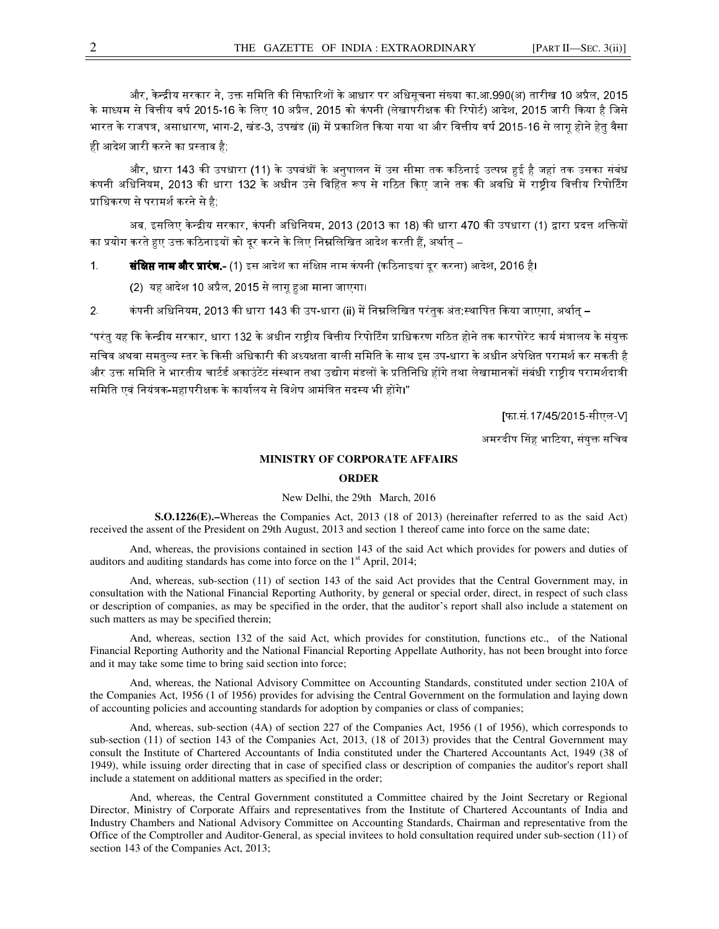और, केन्द्रीय सरकार ने, उक्त समिति की सिफारिशों के आधार पर अधिसूचना संख्या का.आ.990(अ) तारीख 10 अप्रैल, 2015 के माध्यम से वित्तीय वर्ष 2015-16 के लिए 10 अप्रैल, 2015 को कंपनी (लेखापरीक्षक की रिपोर्ट) आदेश, 2015 जारी किया है जिसे भारत के राजपत्र, असाधारण, भाग-2, खंड-3, उपखंड (ii) में प्रकाशित किया गया था और वित्तीय वर्ष 2015-16 से लागू होने हेतु वैसा ही आदेश जारी करने का प्रस्ताव है;

और, धारा 143 की उपधारा (11) के उपबंधों के अनुपालन में उस सीमा तक कठिनाई उत्पन्न हुई है जहां तक उसका संबंध कंपनी अधिनियम, 2013 की धारा 132 के अधीन उसे विहित रूप से गठित किए जाने तक की अवधि में राष्ट्रीय वित्तीय रिपोर्टिंग प्राधिकरण से परामर्श करने से है;

अब, इसलिए केन्द्रीय सरकार, कंपनी अधिनियम, 2013 (2013 का 18) की धारा 470 की उपधारा (1) द्वारा प्रदत्त शक्तियों का प्रयोग करते हुए उक्त कठिनाइयों को दूर करने के लिए निम्नलिखित आदेश करती हैं, अर्थात –

1. **संक्षिप्त नाम और प्रारंभ.-** (1) इस आदेश का संक्षिप्त नाम कंपनी (कठिनाइयां दर करना) आदेश, 2016 है।

(2) यह आदेश 10 अप्रैल, 2015 से लागू हुआ माना जाएगा।

2. कंपनी अधिनियम, 2013 की धारा 143 की उप-धारा (ii) में निम्नलिखित परंतुक अंत:स्थापित किया जाएगा, अर्थात –

"परंतु यह कि केन्द्रीय सरकार, धारा 132 के अधीन राष्ट्रीय वित्तीय रिपोर्टिंग प्राधिकरण गठित होने तक कारपोरेट कार्य मंत्रालय के संयुक्त सचिव अथवा समतुल्य स्तर के किसी अधिकारी की अध्यक्षता वाली समिति के साथ इस उप-धारा के अधीन अपेक्षित परामर्श कर सकती है और उक्त समिति ने भारतीय चार्टर्ड अकाउंटेंट संस्थान तथा उद्योग मंडलों के प्रतिनिधि होंगे तथा लेखामानकों संबंधी राष्टीय परामर्शदात्री समिति एवं नियंत्रक-महापरीक्षक के कार्यालय से विशेष आमंत्रित सदस्य भी होंगे।"

[फा.सं.17/45/2015-सीएल-V]

अमरदीप सिंह भाटिया, संयुक्त सचिव

## **MINISTRY OF CORPORATE AFFAIRS**

## **ORDER**

## New Delhi, the 29th March, 2016

 **S.O.1226(E).–**Whereas the Companies Act, 2013 (18 of 2013) (hereinafter referred to as the said Act) received the assent of the President on 29th August, 2013 and section 1 thereof came into force on the same date;

And, whereas, the provisions contained in section 143 of the said Act which provides for powers and duties of auditors and auditing standards has come into force on the 1<sup>st</sup> April, 2014;

And, whereas, sub-section (11) of section 143 of the said Act provides that the Central Government may, in consultation with the National Financial Reporting Authority, by general or special order, direct, in respect of such class or description of companies, as may be specified in the order, that the auditor's report shall also include a statement on such matters as may be specified therein;

And, whereas, section 132 of the said Act, which provides for constitution, functions etc., of the National Financial Reporting Authority and the National Financial Reporting Appellate Authority, has not been brought into force and it may take some time to bring said section into force;

And, whereas, the National Advisory Committee on Accounting Standards, constituted under section 210A of the Companies Act, 1956 (1 of 1956) provides for advising the Central Government on the formulation and laying down of accounting policies and accounting standards for adoption by companies or class of companies;

And, whereas, sub-section (4A) of section 227 of the Companies Act, 1956 (1 of 1956), which corresponds to sub-section (11) of section 143 of the Companies Act, 2013, (18 of 2013) provides that the Central Government may consult the Institute of Chartered Accountants of India constituted under the Chartered Accountants Act, 1949 (38 of 1949), while issuing order directing that in case of specified class or description of companies the auditor's report shall include a statement on additional matters as specified in the order;

And, whereas, the Central Government constituted a Committee chaired by the Joint Secretary or Regional Director, Ministry of Corporate Affairs and representatives from the Institute of Chartered Accountants of India and Industry Chambers and National Advisory Committee on Accounting Standards, Chairman and representative from the Office of the Comptroller and Auditor-General, as special invitees to hold consultation required under sub-section (11) of section 143 of the Companies Act, 2013;